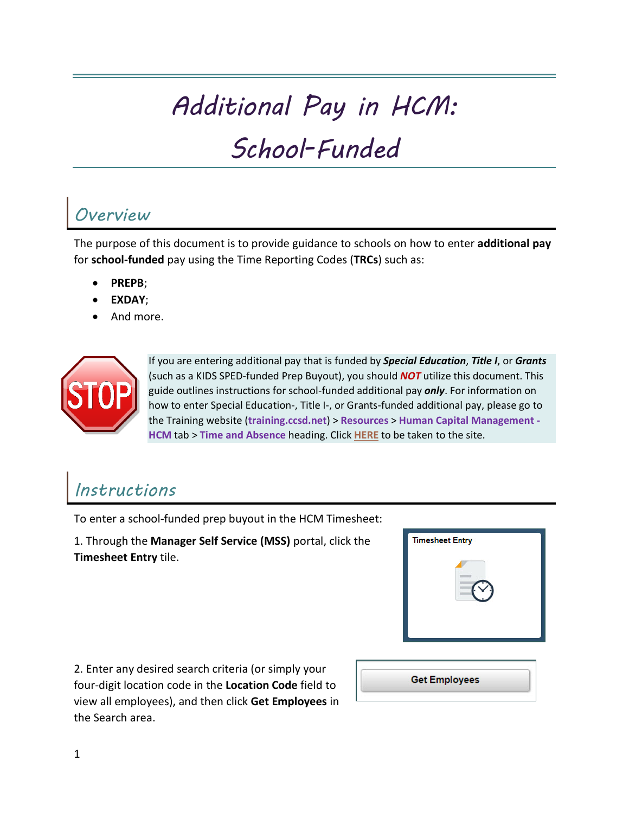## *Additional Pay in HCM:*

# *School-Funded*

#### *Overview*

The purpose of this document is to provide guidance to schools on how to enter **additional pay**  for **school-funded** pay using the Time Reporting Codes (**TRCs**) such as:

- **PREPB**;
- **EXDAY**;
- And more.



If you are entering additional pay that is funded by *Special Education*, *Title I*, or *Grants* (such as a KIDS SPED-funded Prep Buyout), you should *NOT* utilize this document. This guide outlines instructions for school-funded additional pay *only*. For information on how to enter Special Education-, Title I-, or Grants-funded additional pay, please go to the Training website (**training.ccsd.net**) > **Resources** > **Human Capital Management - HCM** tab > **Time and Absence** heading. Click **[HERE](https://training.ccsd.net/resources-2/)** to be taken to the site.

## *Instructions*

To enter a school-funded prep buyout in the HCM Timesheet:

1. Through the **Manager Self Service (MSS)** portal, click the **Timesheet Entry** tile.



2. Enter any desired search criteria (or simply your four-digit location code in the **Location Code** field to view all employees), and then click **Get Employees** in the Search area.

| <b>Get Employees</b> |  |
|----------------------|--|
|                      |  |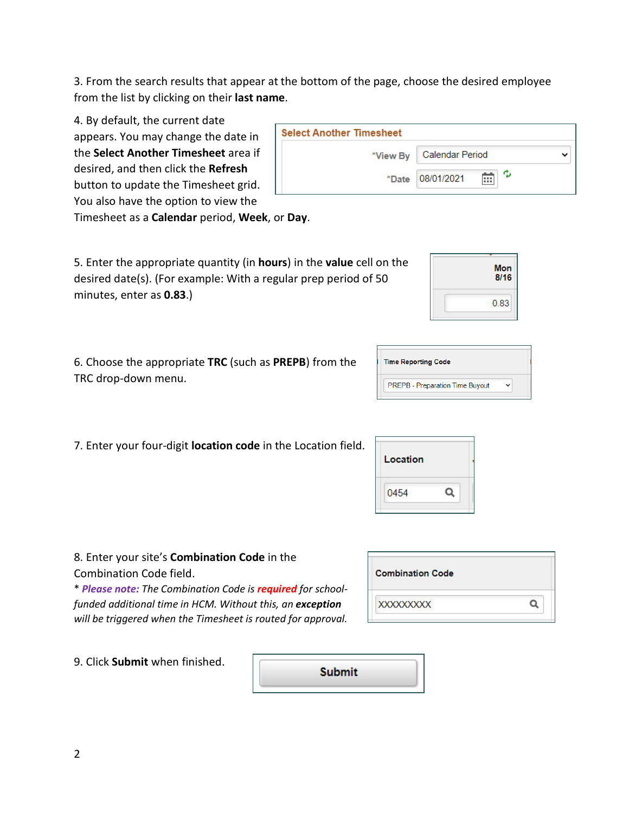3. From the search results that appear at the bottom of the page, choose the desired employee from the list by clicking on their **last name**.

4. By default, the current date

appears. You may change the date in the **Select Another Timesheet** area if desired, and then click the **Refresh**  button to update the Timesheet grid.

| <b>Select Another Timesheet</b> |                      |  |
|---------------------------------|----------------------|--|
| *View By                        | Calendar Period      |  |
| *Date                           | w<br>08/01/2021<br>m |  |

You also have the option to view the

Timesheet as a **Calendar** period, **Week**, or **Day**.

5. Enter the appropriate quantity (in **hours**) in the **value** cell on the desired date(s). (For example: With a regular prep period of 50 minutes, enter as **0.83**.)

6. Choose the appropriate **TRC** (such as **PREPB**) from the TRC drop-down menu.

|  |  |  |  | 7. Enter your four-digit location code in the Location field. |
|--|--|--|--|---------------------------------------------------------------|
|--|--|--|--|---------------------------------------------------------------|

| Location |  |
|----------|--|
| 0454     |  |

8. Enter your site's **Combination Code** in the Combination Code field.

\* *Please note: The Combination Code is required for schoolfunded additional time in HCM. Without this, an exception will be triggered when the Timesheet is routed for approval.*

| <b>Combination Code</b> |  |
|-------------------------|--|
| <b>XXXXXXXXXX</b>       |  |

9. Click **Submit** when finished.

**Submit** 

| Mon<br>8/16 |
|-------------|
| 0.83        |

| <b>Time Reporting Code</b>      |  |  |
|---------------------------------|--|--|
| PREPB - Preparation Time Buyout |  |  |